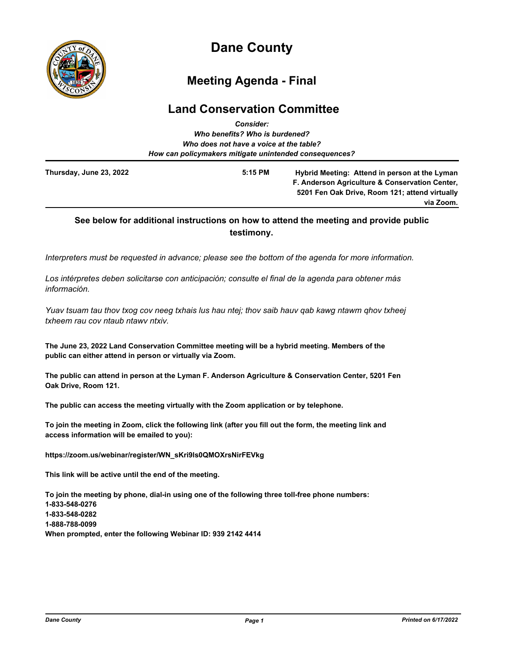

# **Dane County**

## **Meeting Agenda - Final**

## **Land Conservation Committee**

|                         | <b>Consider:</b>                                       |                                                |
|-------------------------|--------------------------------------------------------|------------------------------------------------|
|                         | Who benefits? Who is burdened?                         |                                                |
|                         | Who does not have a voice at the table?                |                                                |
|                         | How can policymakers mitigate unintended consequences? |                                                |
| Thursday, June 23, 2022 | $5:15$ PM                                              | Hybrid Meeting: Attend in person at the Lyman  |
|                         |                                                        | F. Anderson Agriculture & Conservation Center, |
|                         |                                                        | 5201 Fen Oak Drive, Room 121; attend virtually |
|                         |                                                        | via Zoom.                                      |

### **See below for additional instructions on how to attend the meeting and provide public testimony.**

*Interpreters must be requested in advance; please see the bottom of the agenda for more information.*

*Los intérpretes deben solicitarse con anticipación; consulte el final de la agenda para obtener más información.*

*Yuav tsuam tau thov txog cov neeg txhais lus hau ntej; thov saib hauv qab kawg ntawm qhov txheej txheem rau cov ntaub ntawv ntxiv.*

**The June 23, 2022 Land Conservation Committee meeting will be a hybrid meeting. Members of the public can either attend in person or virtually via Zoom.**

**The public can attend in person at the Lyman F. Anderson Agriculture & Conservation Center, 5201 Fen Oak Drive, Room 121.**

**The public can access the meeting virtually with the Zoom application or by telephone.**

**To join the meeting in Zoom, click the following link (after you fill out the form, the meeting link and access information will be emailed to you):**

**https://zoom.us/webinar/register/WN\_sKri9ls0QMOXrsNirFEVkg**

**This link will be active until the end of the meeting.**

**To join the meeting by phone, dial-in using one of the following three toll-free phone numbers: 1-833-548-0276 1-833-548-0282 1-888-788-0099 When prompted, enter the following Webinar ID: 939 2142 4414**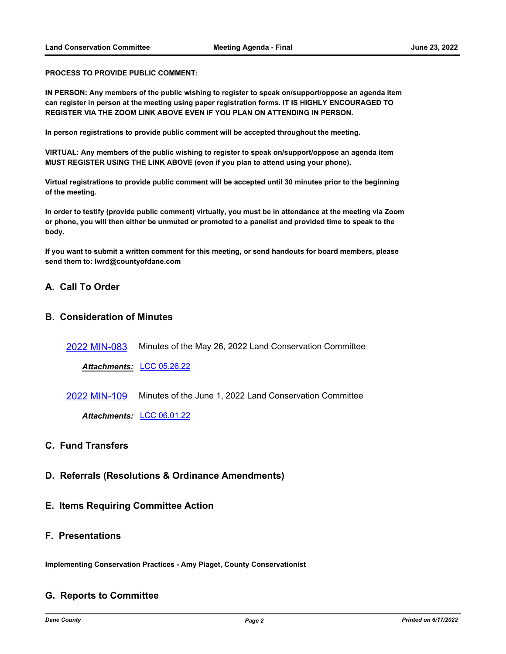**PROCESS TO PROVIDE PUBLIC COMMENT:**

**IN PERSON: Any members of the public wishing to register to speak on/support/oppose an agenda item can register in person at the meeting using paper registration forms. IT IS HIGHLY ENCOURAGED TO REGISTER VIA THE ZOOM LINK ABOVE EVEN IF YOU PLAN ON ATTENDING IN PERSON.**

**In person registrations to provide public comment will be accepted throughout the meeting.**

**VIRTUAL: Any members of the public wishing to register to speak on/support/oppose an agenda item MUST REGISTER USING THE LINK ABOVE (even if you plan to attend using your phone).**

**Virtual registrations to provide public comment will be accepted until 30 minutes prior to the beginning of the meeting.**

**In order to testify (provide public comment) virtually, you must be in attendance at the meeting via Zoom or phone, you will then either be unmuted or promoted to a panelist and provided time to speak to the body.**

**If you want to submit a written comment for this meeting, or send handouts for board members, please send them to: lwrd@countyofdane.com**

#### **A. Call To Order**

#### **B. Consideration of Minutes**

[2022 MIN-083](http://dane.legistar.com/gateway.aspx?m=l&id=/matter.aspx?key=22982) Minutes of the May 26, 2022 Land Conservation Committee

*Attachments:* [LCC 05.26.22](http://dane.legistar.com/gateway.aspx?M=F&ID=51c6a65c-ff83-4648-88bc-a50e72849bcc.pdf)

[2022 MIN-109](http://dane.legistar.com/gateway.aspx?m=l&id=/matter.aspx?key=23065) Minutes of the June 1, 2022 Land Conservation Committee

*Attachments:* [LCC 06.01.22](http://dane.legistar.com/gateway.aspx?M=F&ID=9056eb1e-5b66-4c38-ac85-54416333c1ca.pdf)

### **C. Fund Transfers**

- **D. Referrals (Resolutions & Ordinance Amendments)**
- **E. Items Requiring Committee Action**

#### **F. Presentations**

**Implementing Conservation Practices - Amy Piaget, County Conservationist**

#### **G. Reports to Committee**